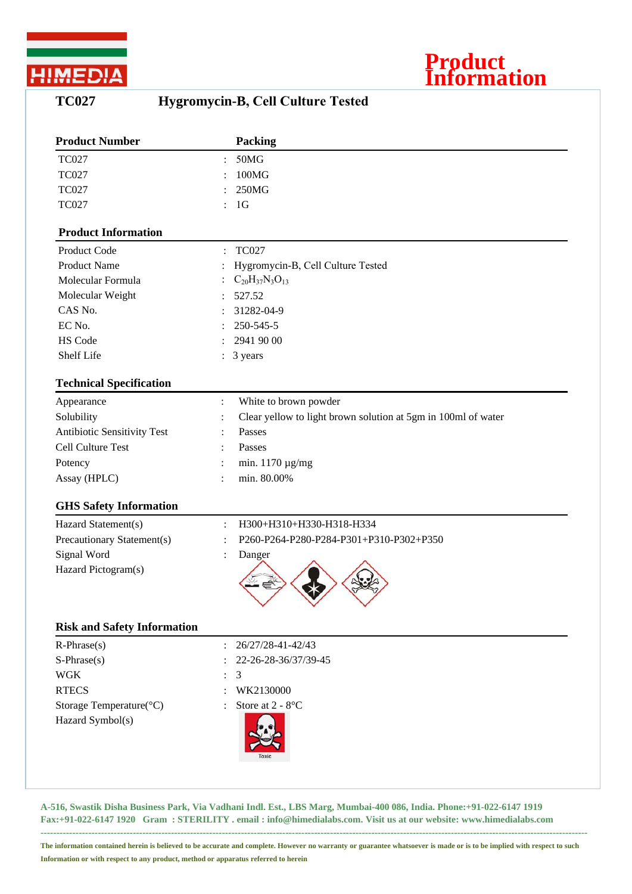

## **TC027 Hygromycin-B, Cell Culture Tested**

**Product**

**Information**

| <b>Product Number</b>              | Packing                                                                         |
|------------------------------------|---------------------------------------------------------------------------------|
| <b>TC027</b>                       | 50MG<br>$\ddot{\cdot}$                                                          |
| <b>TC027</b>                       | 100MG                                                                           |
| <b>TC027</b>                       | 250MG                                                                           |
| <b>TC027</b>                       | 1 <sub>G</sub>                                                                  |
| <b>Product Information</b>         |                                                                                 |
| Product Code                       | <b>TC027</b><br>$\ddot{\cdot}$                                                  |
| <b>Product Name</b>                | Hygromycin-B, Cell Culture Tested                                               |
| Molecular Formula                  | $C_{20}H_{37}N_3O_{13}$                                                         |
| Molecular Weight                   | 527.52                                                                          |
| CAS No.                            | 31282-04-9                                                                      |
| EC No.                             | 250-545-5                                                                       |
| HS Code                            | 2941 90 00                                                                      |
| Shelf Life                         | 3 years<br>$\ddot{\cdot}$                                                       |
| <b>Technical Specification</b>     |                                                                                 |
| Appearance                         | White to brown powder<br>$\ddot{\cdot}$                                         |
| Solubility                         | Clear yellow to light brown solution at 5gm in 100ml of water<br>$\ddot{\cdot}$ |
| Antibiotic Sensitivity Test        | Passes                                                                          |
| Cell Culture Test                  | Passes                                                                          |
| Potency                            | min. $1170 \mu g/mg$<br>$\ddot{\cdot}$                                          |
| Assay (HPLC)                       | min. 80.00%                                                                     |
| <b>GHS Safety Information</b>      |                                                                                 |
| Hazard Statement(s)                | H300+H310+H330-H318-H334<br>$\ddot{\cdot}$                                      |
| Precautionary Statement(s)         | P260-P264-P280-P284-P301+P310-P302+P350<br>$\ddot{\cdot}$                       |
| Signal Word                        | Danger                                                                          |
| Hazard Pictogram(s)                |                                                                                 |
| <b>Risk and Safety Information</b> |                                                                                 |
| $R$ -Phrase $(s)$                  | 26/27/28-41-42/43                                                               |
| $S-Phrase(s)$                      | 22-26-28-36/37/39-45                                                            |
| <b>WGK</b>                         | 3                                                                               |
| <b>RTECS</b>                       | WK2130000                                                                       |
| Storage Temperature(°C)            | Store at 2 - 8°C                                                                |
| Hazard Symbol(s)                   |                                                                                 |
|                                    |                                                                                 |

**A-516, Swastik Disha Business Park, Via Vadhani Indl. Est., LBS Marg, Mumbai-400 086, India. Phone:+91-022-6147 1919 Fax:+91-022-6147 1920 Gram : STERILITY . email : info@himedialabs.com. Visit us at our website: www.himedialabs.com ----------------------------------------------------------------------------------------------------------------------------------------------------------------------------**

**The information contained herein is believed to be accurate and complete. However no warranty or guarantee whatsoever is made or is to be implied with respect to such Information or with respect to any product, method or apparatus referred to herein**